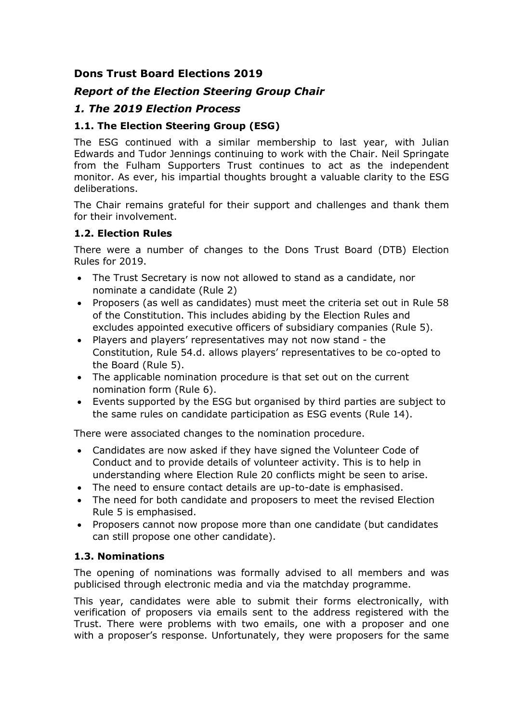# **Dons Trust Board Elections 2019**

# *Report of the Election Steering Group Chair*

# *1. The 2019 Election Process*

# **1.1. The Election Steering Group (ESG)**

The ESG continued with a similar membership to last year, with Julian Edwards and Tudor Jennings continuing to work with the Chair. Neil Springate from the Fulham Supporters Trust continues to act as the independent monitor. As ever, his impartial thoughts brought a valuable clarity to the ESG deliberations.

The Chair remains grateful for their support and challenges and thank them for their involvement.

## **1.2. Election Rules**

There were a number of changes to the Dons Trust Board (DTB) Election Rules for 2019.

- The Trust Secretary is now not allowed to stand as a candidate, nor nominate a candidate (Rule 2)
- Proposers (as well as candidates) must meet the criteria set out in Rule 58 of the Constitution. This includes abiding by the Election Rules and excludes appointed executive officers of subsidiary companies (Rule 5).
- Players and players' representatives may not now stand the Constitution, Rule 54.d. allows players' representatives to be co-opted to the Board (Rule 5).
- The applicable nomination procedure is that set out on the current nomination form (Rule 6).
- Events supported by the ESG but organised by third parties are subject to the same rules on candidate participation as ESG events (Rule 14).

There were associated changes to the nomination procedure.

- Candidates are now asked if they have signed the Volunteer Code of Conduct and to provide details of volunteer activity. This is to help in understanding where Election Rule 20 conflicts might be seen to arise.
- The need to ensure contact details are up-to-date is emphasised.
- The need for both candidate and proposers to meet the revised Election Rule 5 is emphasised.
- Proposers cannot now propose more than one candidate (but candidates can still propose one other candidate).

## **1.3. Nominations**

The opening of nominations was formally advised to all members and was publicised through electronic media and via the matchday programme.

This year, candidates were able to submit their forms electronically, with verification of proposers via emails sent to the address registered with the Trust. There were problems with two emails, one with a proposer and one with a proposer's response. Unfortunately, they were proposers for the same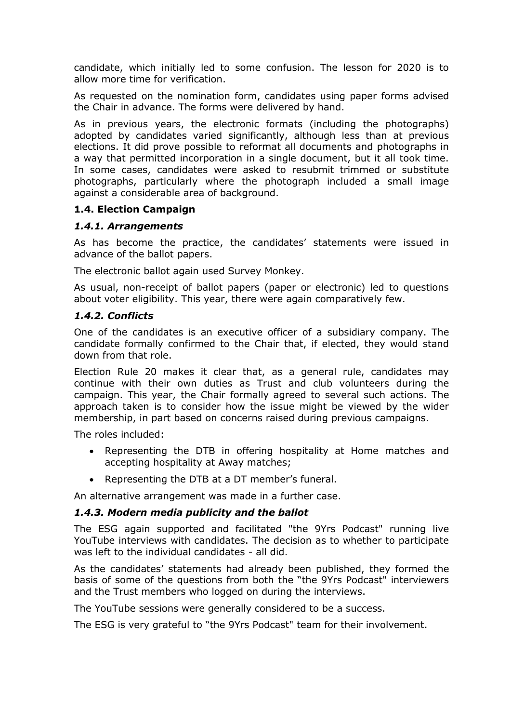candidate, which initially led to some confusion. The lesson for 2020 is to allow more time for verification.

As requested on the nomination form, candidates using paper forms advised the Chair in advance. The forms were delivered by hand.

As in previous years, the electronic formats (including the photographs) adopted by candidates varied significantly, although less than at previous elections. It did prove possible to reformat all documents and photographs in a way that permitted incorporation in a single document, but it all took time. In some cases, candidates were asked to resubmit trimmed or substitute photographs, particularly where the photograph included a small image against a considerable area of background.

## **1.4. Election Campaign**

## *1.4.1. Arrangements*

As has become the practice, the candidates' statements were issued in advance of the ballot papers.

The electronic ballot again used Survey Monkey.

As usual, non-receipt of ballot papers (paper or electronic) led to questions about voter eligibility. This year, there were again comparatively few.

## *1.4.2. Conflicts*

One of the candidates is an executive officer of a subsidiary company. The candidate formally confirmed to the Chair that, if elected, they would stand down from that role.

Election Rule 20 makes it clear that, as a general rule, candidates may continue with their own duties as Trust and club volunteers during the campaign. This year, the Chair formally agreed to several such actions. The approach taken is to consider how the issue might be viewed by the wider membership, in part based on concerns raised during previous campaigns.

The roles included:

- Representing the DTB in offering hospitality at Home matches and accepting hospitality at Away matches;
- Representing the DTB at a DT member's funeral.

An alternative arrangement was made in a further case.

## *1.4.3. Modern media publicity and the ballot*

The ESG again supported and facilitated "the 9Yrs Podcast" running live YouTube interviews with candidates. The decision as to whether to participate was left to the individual candidates - all did.

As the candidates' statements had already been published, they formed the basis of some of the questions from both the "the 9Yrs Podcast" interviewers and the Trust members who logged on during the interviews.

The YouTube sessions were generally considered to be a success.

The ESG is very grateful to "the 9Yrs Podcast" team for their involvement.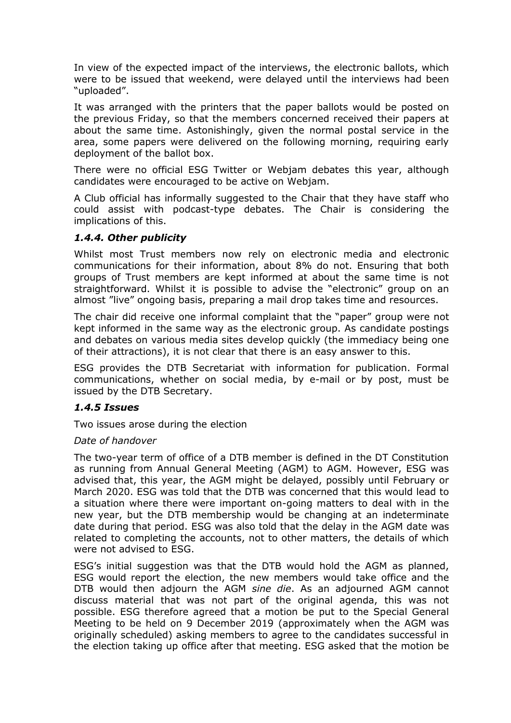In view of the expected impact of the interviews, the electronic ballots, which were to be issued that weekend, were delayed until the interviews had been "uploaded".

It was arranged with the printers that the paper ballots would be posted on the previous Friday, so that the members concerned received their papers at about the same time. Astonishingly, given the normal postal service in the area, some papers were delivered on the following morning, requiring early deployment of the ballot box.

There were no official ESG Twitter or Webjam debates this year, although candidates were encouraged to be active on Webjam.

A Club official has informally suggested to the Chair that they have staff who could assist with podcast-type debates. The Chair is considering the implications of this.

## *1.4.4. Other publicity*

Whilst most Trust members now rely on electronic media and electronic communications for their information, about 8% do not. Ensuring that both groups of Trust members are kept informed at about the same time is not straightforward. Whilst it is possible to advise the "electronic" group on an almost "live" ongoing basis, preparing a mail drop takes time and resources.

The chair did receive one informal complaint that the "paper" group were not kept informed in the same way as the electronic group. As candidate postings and debates on various media sites develop quickly (the immediacy being one of their attractions), it is not clear that there is an easy answer to this.

ESG provides the DTB Secretariat with information for publication. Formal communications, whether on social media, by e-mail or by post, must be issued by the DTB Secretary.

#### *1.4.5 Issues*

Two issues arose during the election

#### *Date of handover*

The two-year term of office of a DTB member is defined in the DT Constitution as running from Annual General Meeting (AGM) to AGM. However, ESG was advised that, this year, the AGM might be delayed, possibly until February or March 2020. ESG was told that the DTB was concerned that this would lead to a situation where there were important on-going matters to deal with in the new year, but the DTB membership would be changing at an indeterminate date during that period. ESG was also told that the delay in the AGM date was related to completing the accounts, not to other matters, the details of which were not advised to ESG.

ESG's initial suggestion was that the DTB would hold the AGM as planned, ESG would report the election, the new members would take office and the DTB would then adjourn the AGM *sine die*. As an adjourned AGM cannot discuss material that was not part of the original agenda, this was not possible. ESG therefore agreed that a motion be put to the Special General Meeting to be held on 9 December 2019 (approximately when the AGM was originally scheduled) asking members to agree to the candidates successful in the election taking up office after that meeting. ESG asked that the motion be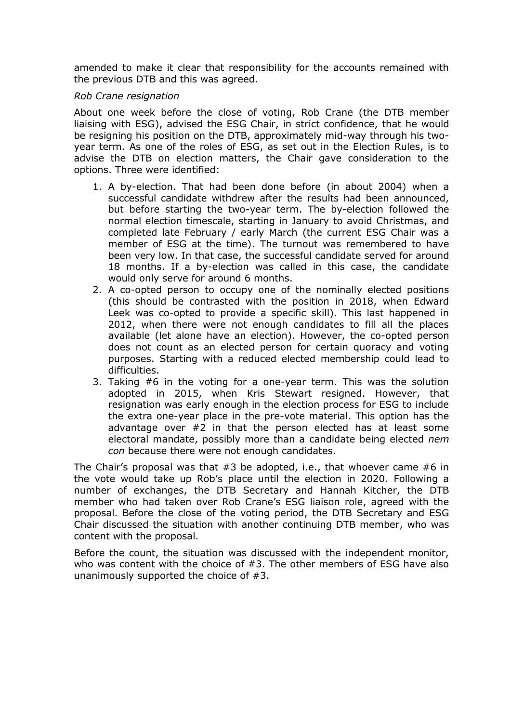amended to make it clear that responsibility for the accounts remained with the previous DTB and this was agreed.

#### *Rob Crane resignation*

About one week before the close of voting, Rob Crane (the DTB member liaising with ESG), advised the ESG Chair, in strict confidence, that he would be resigning his position on the DTB, approximately mid-way through his twoyear term. As one of the roles of ESG, as set out in the Election Rules, is to advise the DTB on election matters, the Chair gave consideration to the options. Three were identified:

- 1. A by-election. That had been done before (in about 2004) when a successful candidate withdrew after the results had been announced, but before starting the two-year term. The by-election followed the normal election timescale, starting in January to avoid Christmas, and completed late February / early March (the current ESG Chair was a member of ESG at the time). The turnout was remembered to have been very low. In that case, the successful candidate served for around 18 months. If a by-election was called in this case, the candidate would only serve for around 6 months.
- 2. A co-opted person to occupy one of the nominally elected positions (this should be contrasted with the position in 2018, when Edward Leek was co-opted to provide a specific skill). This last happened in 2012, when there were not enough candidates to fill all the places available (let alone have an election). However, the co-opted person does not count as an elected person for certain quoracy and voting purposes. Starting with a reduced elected membership could lead to difficulties.
- 3. Taking #6 in the voting for a one-year term. This was the solution adopted in 2015, when Kris Stewart resigned. However, that resignation was early enough in the election process for ESG to include the extra one-year place in the pre-vote material. This option has the advantage over #2 in that the person elected has at least some electoral mandate, possibly more than a candidate being elected *nem con* because there were not enough candidates.

The Chair's proposal was that  $#3$  be adopted, i.e., that whoever came  $#6$  in the vote would take up Rob's place until the election in 2020. Following a number of exchanges, the DTB Secretary and Hannah Kitcher, the DTB member who had taken over Rob Crane's ESG liaison role, agreed with the proposal. Before the close of the voting period, the DTB Secretary and ESG Chair discussed the situation with another continuing DTB member, who was content with the proposal.

Before the count, the situation was discussed with the independent monitor, who was content with the choice of #3. The other members of ESG have also unanimously supported the choice of #3.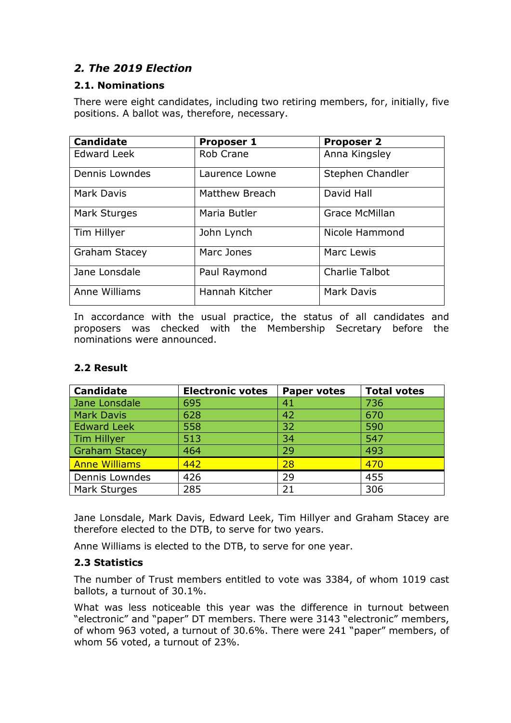# *2. The 2019 Election*

## **2.1. Nominations**

There were eight candidates, including two retiring members, for, initially, five positions. A ballot was, therefore, necessary.

| <b>Candidate</b>     | <b>Proposer 1</b>     | <b>Proposer 2</b>     |  |
|----------------------|-----------------------|-----------------------|--|
| <b>Edward Leek</b>   | <b>Rob Crane</b>      | Anna Kingsley         |  |
| Dennis Lowndes       | Laurence Lowne        | Stephen Chandler      |  |
| Mark Davis           | <b>Matthew Breach</b> | David Hall            |  |
| Mark Sturges         | Maria Butler          | Grace McMillan        |  |
| Tim Hillyer          | John Lynch            | Nicole Hammond        |  |
| <b>Graham Stacey</b> | Marc Jones            | Marc Lewis            |  |
| Jane Lonsdale        | Paul Raymond          | <b>Charlie Talbot</b> |  |
| Anne Williams        | Hannah Kitcher        | <b>Mark Davis</b>     |  |

In accordance with the usual practice, the status of all candidates and proposers was checked with the Membership Secretary before the nominations were announced.

# **2.2 Result**

| <b>Candidate</b>     | <b>Electronic votes</b> | <b>Paper votes</b> | <b>Total votes</b> |
|----------------------|-------------------------|--------------------|--------------------|
| Jane Lonsdale        | 695                     | 41                 | 736                |
| <b>Mark Davis</b>    | 628                     | 42                 | 670                |
| <b>Edward Leek</b>   | 558                     | 32                 | 590                |
| Tim Hillyer          | 513                     | 34                 | 547                |
| <b>Graham Stacey</b> | 464                     | 29                 | 493                |
| <b>Anne Williams</b> | 442                     | 28                 | 470                |
| Dennis Lowndes       | 426                     | 29                 | 455                |
| Mark Sturges         | 285                     | 21                 | 306                |

Jane Lonsdale, Mark Davis, Edward Leek, Tim Hillyer and Graham Stacey are therefore elected to the DTB, to serve for two years.

Anne Williams is elected to the DTB, to serve for one year.

# **2.3 Statistics**

The number of Trust members entitled to vote was 3384, of whom 1019 cast ballots, a turnout of 30.1%.

What was less noticeable this year was the difference in turnout between "electronic" and "paper" DT members. There were 3143 "electronic" members, of whom 963 voted, a turnout of 30.6%. There were 241 "paper" members, of whom 56 voted, a turnout of 23%.